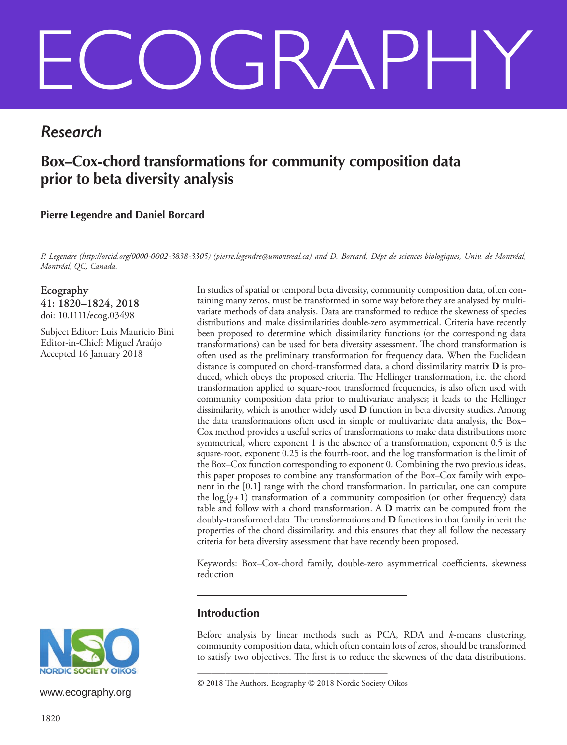# ECOGRAPHY

# *Research*

# **Box–Cox-chord transformations for community composition data prior to beta diversity analysis**

## **Pierre Legendre and Daniel Borcard**

*P. Legendre [\(http://orcid.org/0000-0002-3838-3305\)](http://orcid.org/0000-0002-3838-3305) ([pierre.legendre@umontreal.ca\)](mailto:pierre.legendre@umontreal.ca) and D. Borcard, Dépt de sciences biologiques, Univ. de Montréal, Montréal, QC, Canada.*

**Ecography 41: 1820–1824, 2018** doi: 10.1111/ecog.03498

Subject Editor: Luis Mauricio Bini Editor-in-Chief: Miguel Araújo Accepted 16 January 2018



[www.ecography.org](http://www.ecography.org)

In studies of spatial or temporal beta diversity, community composition data, often containing many zeros, must be transformed in some way before they are analysed by multivariate methods of data analysis. Data are transformed to reduce the skewness of species distributions and make dissimilarities double-zero asymmetrical. Criteria have recently been proposed to determine which dissimilarity functions (or the corresponding data transformations) can be used for beta diversity assessment. The chord transformation is often used as the preliminary transformation for frequency data. When the Euclidean distance is computed on chord-transformed data, a chord dissimilarity matrix **D** is produced, which obeys the proposed criteria. The Hellinger transformation, i.e. the chord transformation applied to square-root transformed frequencies, is also often used with community composition data prior to multivariate analyses; it leads to the Hellinger dissimilarity, which is another widely used **D** function in beta diversity studies. Among the data transformations often used in simple or multivariate data analysis, the Box– Cox method provides a useful series of transformations to make data distributions more symmetrical, where exponent 1 is the absence of a transformation, exponent 0.5 is the square-root, exponent 0.25 is the fourth-root, and the log transformation is the limit of the Box–Cox function corresponding to exponent 0. Combining the two previous ideas, this paper proposes to combine any transformation of the Box–Cox family with exponent in the [0,1] range with the chord transformation. In particular, one can compute the  $log_e(y+1)$  transformation of a community composition (or other frequency) data table and follow with a chord transformation. A **D** matrix can be computed from the doubly-transformed data. The transformations and **D** functions in that family inherit the properties of the chord dissimilarity, and this ensures that they all follow the necessary criteria for beta diversity assessment that have recently been proposed.

Keywords: Box–Cox-chord family, double-zero asymmetrical coefficients, skewness reduction

## **Introduction**

Before analysis by linear methods such as PCA, RDA and *k*-means clustering, community composition data, which often contain lots of zeros, should be transformed to satisfy two objectives. The first is to reduce the skewness of the data distributions.

––––––––––––––––––––––––––––––––––––––––

<sup>© 2018</sup> The Authors. Ecography © 2018 Nordic Society Oikos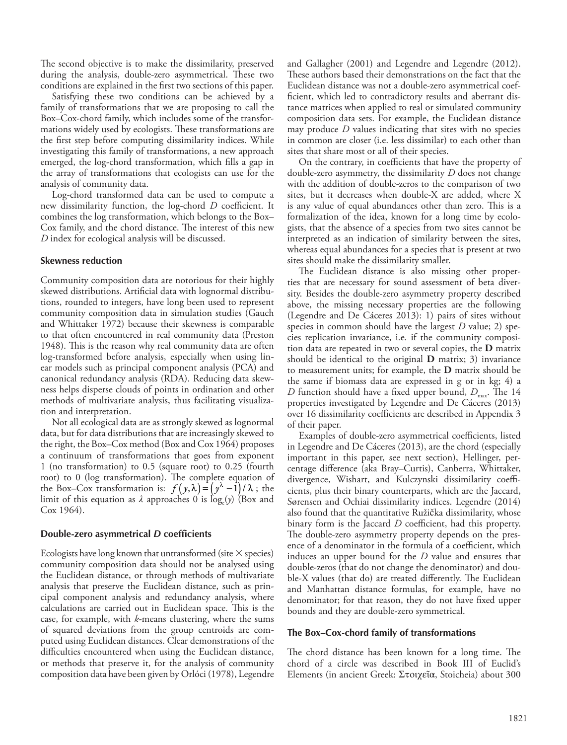The second objective is to make the dissimilarity, preserved during the analysis, double-zero asymmetrical. These two conditions are explained in the first two sections of this paper.

Satisfying these two conditions can be achieved by a family of transformations that we are proposing to call the Box–Cox-chord family, which includes some of the transformations widely used by ecologists. These transformations are the first step before computing dissimilarity indices. While investigating this family of transformations, a new approach emerged, the log-chord transformation, which fills a gap in the array of transformations that ecologists can use for the analysis of community data.

Log-chord transformed data can be used to compute a new dissimilarity function, the log-chord *D* coefficient. It combines the log transformation, which belongs to the Box– Cox family, and the chord distance. The interest of this new *D* index for ecological analysis will be discussed.

#### **Skewness reduction**

Community composition data are notorious for their highly skewed distributions. Artificial data with lognormal distributions, rounded to integers, have long been used to represent community composition data in simulation studies (Gauch and Whittaker 1972) because their skewness is comparable to that often encountered in real community data (Preston 1948). This is the reason why real community data are often log-transformed before analysis, especially when using linear models such as principal component analysis (PCA) and canonical redundancy analysis (RDA). Reducing data skewness helps disperse clouds of points in ordination and other methods of multivariate analysis, thus facilitating visualization and interpretation.

Not all ecological data are as strongly skewed as lognormal data, but for data distributions that are increasingly skewed to the right, the Box–Cox method (Box and Cox 1964) proposes a continuum of transformations that goes from exponent 1 (no transformation) to 0.5 (square root) to 0.25 (fourth root) to 0 (log transformation). The complete equation of the Box–Cox transformation is:  $f(y, \lambda) = (y^{\lambda} - 1) / \lambda$ ; the limit of this equation as *λ* approaches 0 is loge (*y*) (Box and Cox 1964).

#### **Double-zero asymmetrical** *D* **coefficients**

Ecologists have long known that untransformed (site  $\times$  species) community composition data should not be analysed using the Euclidean distance, or through methods of multivariate analysis that preserve the Euclidean distance, such as principal component analysis and redundancy analysis, where calculations are carried out in Euclidean space. This is the case, for example, with *k*-means clustering, where the sums of squared deviations from the group centroids are computed using Euclidean distances. Clear demonstrations of the difficulties encountered when using the Euclidean distance, or methods that preserve it, for the analysis of community composition data have been given by Orlóci (1978), Legendre

and Gallagher (2001) and Legendre and Legendre (2012). These authors based their demonstrations on the fact that the Euclidean distance was not a double-zero asymmetrical coefficient, which led to contradictory results and aberrant distance matrices when applied to real or simulated community composition data sets. For example, the Euclidean distance may produce *D* values indicating that sites with no species in common are closer (i.e. less dissimilar) to each other than sites that share most or all of their species.

On the contrary, in coefficients that have the property of double-zero asymmetry, the dissimilarity *D* does not change with the addition of double-zeros to the comparison of two sites, but it decreases when double-X are added, where X is any value of equal abundances other than zero. This is a formalization of the idea, known for a long time by ecologists, that the absence of a species from two sites cannot be interpreted as an indication of similarity between the sites, whereas equal abundances for a species that is present at two sites should make the dissimilarity smaller.

The Euclidean distance is also missing other properties that are necessary for sound assessment of beta diversity. Besides the double-zero asymmetry property described above, the missing necessary properties are the following (Legendre and De Cáceres 2013): 1) pairs of sites without species in common should have the largest *D* value; 2) species replication invariance, i.e. if the community composition data are repeated in two or several copies, the **D** matrix should be identical to the original **D** matrix; 3) invariance to measurement units; for example, the **D** matrix should be the same if biomass data are expressed in g or in kg; 4) a *D* function should have a fixed upper bound,  $D_{\text{max}}$ . The 14 properties investigated by Legendre and De Cáceres (2013) over 16 dissimilarity coefficients are described in Appendix 3 of their paper.

Examples of double-zero asymmetrical coefficients, listed in Legendre and De Cáceres (2013), are the chord (especially important in this paper, see next section), Hellinger, percentage difference (aka Bray–Curtis), Canberra, Whittaker, divergence, Wishart, and Kulczynski dissimilarity coefficients, plus their binary counterparts, which are the Jaccard, Sørensen and Ochiai dissimilarity indices. Legendre (2014) also found that the quantitative Ružička dissimilarity, whose binary form is the Jaccard *D* coefficient, had this property. The double-zero asymmetry property depends on the presence of a denominator in the formula of a coefficient, which induces an upper bound for the *D* value and ensures that double-zeros (that do not change the denominator) and double-X values (that do) are treated differently. The Euclidean and Manhattan distance formulas, for example, have no denominator; for that reason, they do not have fixed upper bounds and they are double-zero symmetrical.

#### **The Box–Cox-chord family of transformations**

The chord distance has been known for a long time. The chord of a circle was described in Book III of Euclid's Elements (in ancient Greek: Στοιχεῖα, Stoicheia) about 300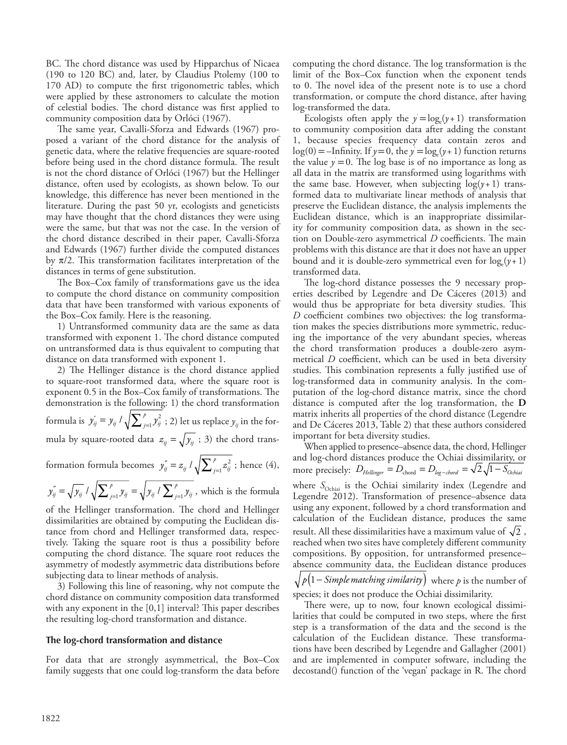BC. The chord distance was used by Hipparchus of Nicaea (190 to 120 BC) and, later, by Claudius Ptolemy (100 to 170 AD) to compute the first trigonometric tables, which were applied by these astronomers to calculate the motion of celestial bodies. The chord distance was first applied to community composition data by Orlóci (1967).

The same year, Cavalli-Sforza and Edwards (1967) proposed a variant of the chord distance for the analysis of genetic data, where the relative frequencies are square-rooted before being used in the chord distance formula. The result is not the chord distance of Orlóci (1967) but the Hellinger distance, often used by ecologists, as shown below. To our knowledge, this difference has never been mentioned in the literature. During the past 50 yr, ecologists and geneticists may have thought that the chord distances they were using were the same, but that was not the case. In the version of the chord distance described in their paper, Cavalli-Sforza and Edwards (1967) further divide the computed distances by  $\pi/2$ . This transformation facilitates interpretation of the distances in terms of gene substitution.

The Box–Cox family of transformations gave us the idea to compute the chord distance on community composition data that have been transformed with various exponents of the Box–Cox family. Here is the reasoning.

1) Untransformed community data are the same as data transformed with exponent 1. The chord distance computed on untransformed data is thus equivalent to computing that distance on data transformed with exponent 1.

2) The Hellinger distance is the chord distance applied to square-root transformed data, where the square root is exponent 0.5 in the Box–Cox family of transformations. The demonstration is the following: 1) the chord transformation formula is  $y_{ij}^{'} = y_{ij} / \sqrt{\sum_{j=1}^{p} y_{ij}^{2}}$  ; 2) let us replace  $y_{ij}$  in the formula by square-rooted data  $z_{ij} = \sqrt{y_{ij}}$ ; 3) the chord transformation formula becomes  $y_{ij}^* = z_{ij} / \sqrt{\sum_{j=1}^p z_{ij}^2}$ ; hence (4),

 $y_{ij}^{''} = \sqrt{y_{ij}} \; / \sqrt{\sum_{j=1}^{p} y_{ij}} = \sqrt{y_{ij}} \; / \sum_{j=1}^{p} y_{ij}$ *ij*  $\sum_{j=1}^{j} y_j$  $\hat{p}^{''}_{ij} = \sqrt{y_{ij}} \; / \sqrt{\sum_{j=1}^p y_{ij}} = \sqrt{y_{ij}} \; / \sum_{j=1}^p y_{ij}$  , which is the formula

of the Hellinger transformation. The chord and Hellinger dissimilarities are obtained by computing the Euclidean distance from chord and Hellinger transformed data, respectively. Taking the square root is thus a possibility before computing the chord distance. The square root reduces the asymmetry of modestly asymmetric data distributions before subjecting data to linear methods of analysis.

3) Following this line of reasoning, why not compute the chord distance on community composition data transformed with any exponent in the [0,1] interval? This paper describes the resulting log-chord transformation and distance.

## **The log-chord transformation and distance**

For data that are strongly asymmetrical, the Box–Cox family suggests that one could log-transform the data before computing the chord distance. The log transformation is the limit of the Box–Cox function when the exponent tends to 0. The novel idea of the present note is to use a chord transformation, or compute the chord distance, after having log-transformed the data.

Ecologists often apply the  $y = log_e(y + 1)$  transformation to community composition data after adding the constant 1, because species frequency data contain zeros and  $log(0) = -Infinity.$  If  $y = 0$ , the  $y' = log_e(y + 1)$  function returns the value  $y = 0$ . The log base is of no importance as long as all data in the matrix are transformed using logarithms with the same base. However, when subjecting  $log(y+1)$  transformed data to multivariate linear methods of analysis that preserve the Euclidean distance, the analysis implements the Euclidean distance, which is an inappropriate dissimilarity for community composition data, as shown in the section on Double-zero asymmetrical *D* coefficients. The main problems with this distance are that it does not have an upper bound and it is double-zero symmetrical even for  $log_e(y+1)$ transformed data.

The log-chord distance possesses the 9 necessary properties described by Legendre and De Cáceres (2013) and would thus be appropriate for beta diversity studies. This *D* coefficient combines two objectives: the log transformation makes the species distributions more symmetric, reducing the importance of the very abundant species, whereas the chord transformation produces a double-zero asymmetrical *D* coefficient, which can be used in beta diversity studies. This combination represents a fully justified use of log-transformed data in community analysis. In the computation of the log-chord distance matrix, since the chord distance is computed after the log transformation, the **D** matrix inherits all properties of the chord distance (Legendre and De Cáceres 2013, Table 2) that these authors considered important for beta diversity studies.

When applied to presence–absence data, the chord, Hellinger and log-chord distances produce the Ochiai dissimilarity, or more precisely:  $D_{\text{Hellinger}} = D_{\text{chord}} = D_{\text{log}-\text{chord}} = \sqrt{2}\sqrt{1 - S_{\text{Ochiai}}}$ where *S*<sub>Ochiai</sub> is the Ochiai similarity index (Legendre and Legendre 2012). Transformation of presence–absence data using any exponent, followed by a chord transformation and calculation of the Euclidean distance, produces the same result. All these dissimilarities have a maximum value of  $\sqrt{2}$ , reached when two sites have completely different community compositions. By opposition, for untransformed presence– absence community data, the Euclidean distance produces *p* (1 − *Simple matching similarity*) where *p* is the number of

species; it does not produce the Ochiai dissimilarity.

There were, up to now, four known ecological dissimilarities that could be computed in two steps, where the first step is a transformation of the data and the second is the calculation of the Euclidean distance. These transformations have been described by Legendre and Gallagher (2001) and are implemented in computer software, including the decostand() function of the 'vegan' package in R. The chord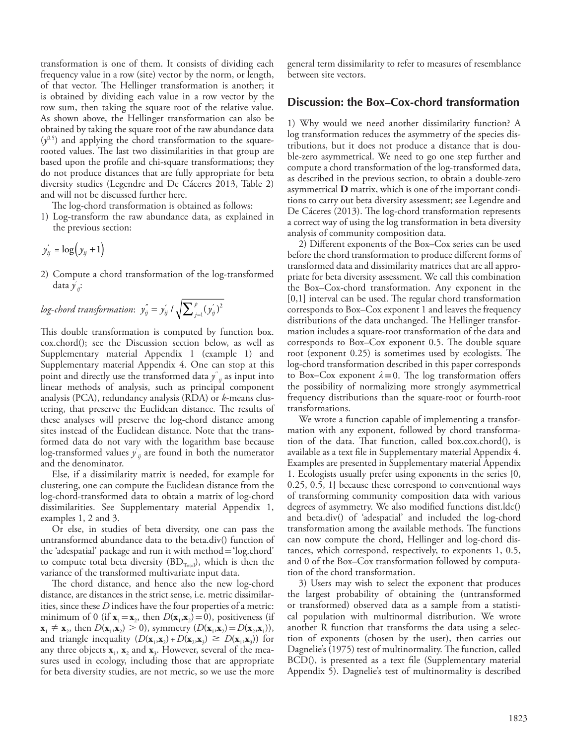transformation is one of them. It consists of dividing each frequency value in a row (site) vector by the norm, or length, of that vector. The Hellinger transformation is another; it is obtained by dividing each value in a row vector by the row sum, then taking the square root of the relative value. As shown above, the Hellinger transformation can also be obtained by taking the square root of the raw abundance data (*y*0.5) and applying the chord transformation to the squarerooted values. The last two dissimilarities in that group are based upon the profile and chi-square transformations; they do not produce distances that are fully appropriate for beta diversity studies (Legendre and De Cáceres 2013, Table 2) and will not be discussed further here.

The log-chord transformation is obtained as follows:

1) Log-transform the raw abundance data, as explained in the previous section:

$$
y_{ij}^{'} = \log(y_{ij} + 1)
$$

2) Compute a chord transformation of the log-transformed data *y*′ *ij*:

$$
log-chord\ transformation: \ y_{ij}'' = y_{ij}' / \sqrt{\sum_{j=1}^{p} (y_{ij}')^2}
$$

This double transformation is computed by function [box.](http://box.cox.chord) [cox.chord](http://box.cox.chord)(); see the Discussion section below, as well as Supplementary material Appendix 1 (example 1) and Supplementary material Appendix 4. One can stop at this point and directly use the transformed data  $y^{'}_{ij}$  as input into linear methods of analysis, such as principal component analysis (PCA), redundancy analysis (RDA) or *k*-means clustering, that preserve the Euclidean distance. The results of these analyses will preserve the log-chord distance among sites instead of the Euclidean distance. Note that the transformed data do not vary with the logarithm base because  $\log$ -transformed values  $y'_{ij}$  are found in both the numerator and the denominator.

Else, if a dissimilarity matrix is needed, for example for clustering, one can compute the Euclidean distance from the log-chord-transformed data to obtain a matrix of log-chord dissimilarities. See Supplementary material Appendix 1, examples 1, 2 and 3.

Or else, in studies of beta diversity, one can pass the untransformed abundance data to the [beta.div](http://beta.div)() function of the 'adespatial' package and run it with method=['log.chord](http://log.chord)' to compute total beta diversity  $(BD_{\text{Total}})$ , which is then the variance of the transformed multivariate input data.

The chord distance, and hence also the new log-chord distance, are distances in the strict sense, i.e. metric dissimilarities, since these *D* indices have the four properties of a metric: minimum of 0 (if  $\mathbf{x}_1 = \mathbf{x}_2$ , then  $D(\mathbf{x}_1, \mathbf{x}_2) = 0$ ), positiveness (if  $\mathbf{x}_1 \neq \mathbf{x}_2$ , then  $D(\mathbf{x}_1, \mathbf{x}_2) > 0$ ), symmetry  $(D(\mathbf{x}_1, \mathbf{x}_2) = D(\mathbf{x}_2, \mathbf{x}_1)$ ), and triangle inequality  $(D(\mathbf{x}_1, \mathbf{x}_2) + D(\mathbf{x}_2, \mathbf{x}_3)) \ge D(\mathbf{x}_1, \mathbf{x}_3)$  for any three objects  $\mathbf{x}_1$ ,  $\mathbf{x}_2$  and  $\mathbf{x}_3$ . However, several of the measures used in ecology, including those that are appropriate for beta diversity studies, are not metric, so we use the more

general term dissimilarity to refer to measures of resemblance between site vectors.

## **Discussion: the Box–Cox-chord transformation**

1) Why would we need another dissimilarity function? A log transformation reduces the asymmetry of the species distributions, but it does not produce a distance that is double-zero asymmetrical. We need to go one step further and compute a chord transformation of the log-transformed data, as described in the previous section, to obtain a double-zero asymmetrical **D** matrix, which is one of the important conditions to carry out beta diversity assessment; see Legendre and De Cáceres (2013). The log-chord transformation represents a correct way of using the log transformation in beta diversity analysis of community composition data.

2) Different exponents of the Box–Cox series can be used before the chord transformation to produce different forms of transformed data and dissimilarity matrices that are all appropriate for beta diversity assessment. We call this combination the Box–Cox-chord transformation. Any exponent in the [0,1] interval can be used. The regular chord transformation corresponds to Box–Cox exponent 1 and leaves the frequency distributions of the data unchanged. The Hellinger transformation includes a square-root transformation of the data and corresponds to Box–Cox exponent 0.5. The double square root (exponent 0.25) is sometimes used by ecologists. The log-chord transformation described in this paper corresponds to Box–Cox exponent  $\lambda = 0$ . The log transformation offers the possibility of normalizing more strongly asymmetrical frequency distributions than the square-root or fourth-root transformations.

We wrote a function capable of implementing a transformation with any exponent, followed by chord transformation of the data. That function, called [box.cox.chord](http://box.cox.chord)(), is available as a text file in Supplementary material Appendix 4. Examples are presented in Supplementary material Appendix 1. Ecologists usually prefer using exponents in the series {0, 0.25, 0.5, 1} because these correspond to conventional ways of transforming community composition data with various degrees of asymmetry. We also modified functions [dist.ldc](http://dist.ldc)() and [beta.div](http://beta.div)() of 'adespatial' and included the log-chord transformation among the available methods. The functions can now compute the chord, Hellinger and log-chord distances, which correspond, respectively, to exponents 1, 0.5, and 0 of the Box–Cox transformation followed by computation of the chord transformation.

3) Users may wish to select the exponent that produces the largest probability of obtaining the (untransformed or transformed) observed data as a sample from a statistical population with multinormal distribution. We wrote another R function that transforms the data using a selection of exponents (chosen by the user), then carries out Dagnelie's (1975) test of multinormality. The function, called BCD(), is presented as a text file (Supplementary material Appendix 5). Dagnelie's test of multinormality is described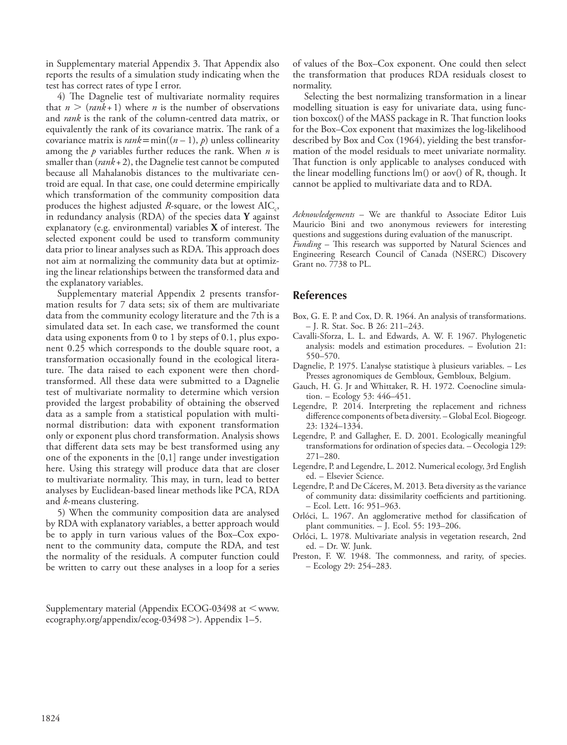in Supplementary material Appendix 3. That Appendix also reports the results of a simulation study indicating when the test has correct rates of type I error.

4) The Dagnelie test of multivariate normality requires that  $n > (rank + 1)$  where *n* is the number of observations and *rank* is the rank of the column-centred data matrix, or equivalently the rank of its covariance matrix. The rank of a covariance matrix is  $rank = min((n - 1), p)$  unless collinearity among the *p* variables further reduces the rank. When *n* is smaller than (*rank*+ 2), the Dagnelie test cannot be computed because all Mahalanobis distances to the multivariate centroid are equal. In that case, one could determine empirically which transformation of the community composition data produces the highest adjusted  $R$ -square, or the lowest  $AIC_c$ , in redundancy analysis (RDA) of the species data **Y** against explanatory (e.g. environmental) variables **X** of interest. The selected exponent could be used to transform community data prior to linear analyses such as RDA. This approach does not aim at normalizing the community data but at optimizing the linear relationships between the transformed data and the explanatory variables.

Supplementary material Appendix 2 presents transformation results for 7 data sets; six of them are multivariate data from the community ecology literature and the 7th is a simulated data set. In each case, we transformed the count data using exponents from 0 to 1 by steps of 0.1, plus exponent 0.25 which corresponds to the double square root, a transformation occasionally found in the ecological literature. The data raised to each exponent were then chordtransformed. All these data were submitted to a Dagnelie test of multivariate normality to determine which version provided the largest probability of obtaining the observed data as a sample from a statistical population with multinormal distribution: data with exponent transformation only or exponent plus chord transformation. Analysis shows that different data sets may be best transformed using any one of the exponents in the [0,1] range under investigation here. Using this strategy will produce data that are closer to multivariate normality. This may, in turn, lead to better analyses by Euclidean-based linear methods like PCA, RDA and *k*-means clustering.

5) When the community composition data are analysed by RDA with explanatory variables, a better approach would be to apply in turn various values of the Box–Cox exponent to the community data, compute the RDA, and test the normality of the residuals. A computer function could be written to carry out these analyses in a loop for a series

Supplementary material (Appendix ECOG-03498 at  $\leq$  [www.](http://www.ecography.org/appendix/ecog-03498) [ecography.org](http://www.ecography.org/appendix/ecog-03498)/appendix/ecog-03498>). Appendix 1-5.

of values of the Box–Cox exponent. One could then select the transformation that produces RDA residuals closest to normality.

Selecting the best normalizing transformation in a linear modelling situation is easy for univariate data, using function boxcox() of the MASS package in R. That function looks for the Box–Cox exponent that maximizes the log-likelihood described by Box and Cox (1964), yielding the best transformation of the model residuals to meet univariate normality. That function is only applicable to analyses conduced with the linear modelling functions lm() or aov() of R, though. It cannot be applied to multivariate data and to RDA.

*Acknowledgements* – We are thankful to Associate Editor Luis Mauricio Bini and two anonymous reviewers for interesting questions and suggestions during evaluation of the manuscript.

*Funding* – This research was supported by Natural Sciences and Engineering Research Council of Canada (NSERC) Discovery Grant no. 7738 to PL.

## **References**

- Box, G. E. P. and Cox, D. R. 1964. An analysis of transformations. – J. R. Stat. Soc. B 26: 211–243.
- Cavalli-Sforza, L. L. and Edwards, A. W. F. 1967. Phylogenetic analysis: models and estimation procedures. – Evolution 21: 550–570.
- Dagnelie, P. 1975. L'analyse statistique à plusieurs variables. Les Presses agronomiques de Gembloux, Gembloux, Belgium.
- Gauch, H. G. Jr and Whittaker, R. H. 1972. Coenocline simulation. – Ecology 53: 446–451.
- Legendre, P. 2014. Interpreting the replacement and richness difference components of beta diversity. – Global Ecol. Biogeogr. 23: 1324–1334.
- Legendre, P. and Gallagher, E. D. 2001. Ecologically meaningful transformations for ordination of species data. – Oecologia 129: 271–280.
- Legendre, P. and Legendre, L. 2012. Numerical ecology, 3rd English ed. – Elsevier Science.
- Legendre, P. and De Cáceres, M. 2013. Beta diversity as the variance of community data: dissimilarity coefficients and partitioning. – Ecol. Lett. 16: 951–963.
- Orlóci, L. 1967. An agglomerative method for classification of plant communities. – J. Ecol. 55: 193–206.
- Orlóci, L. 1978. Multivariate analysis in vegetation research, 2nd ed. – Dr. W. Junk.
- Preston, F. W. 1948. The commonness, and rarity, of species. – Ecology 29: 254–283.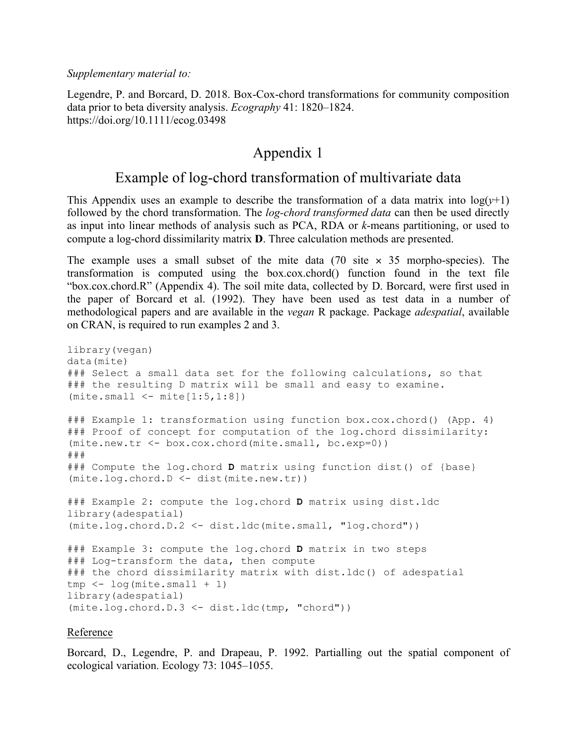*Supplementary material to:*

Legendre, P. and Borcard, D. 2018. Box-Cox-chord transformations for community composition data prior to beta diversity analysis. *Ecography* 41: 1820–1824. https://doi.org/10.1111/ecog.03498

# Appendix 1

# Example of log-chord transformation of multivariate data

This Appendix uses an example to describe the transformation of a data matrix into  $log(y+1)$ followed by the chord transformation. The *log-chord transformed data* can then be used directly as input into linear methods of analysis such as PCA, RDA or *k*-means partitioning, or used to compute a log-chord dissimilarity matrix **D**. Three calculation methods are presented.

The example uses a small subset of the mite data  $(70 \text{ site} \times 35 \text{ morpho-species})$ . The transformation is computed using the box.cox.chord() function found in the text file "box.cox.chord.R" (Appendix 4). The soil mite data, collected by D. Borcard, were first used in the paper of Borcard et al. (1992). They have been used as test data in a number of methodological papers and are available in the *vegan* R package. Package *adespatial*, available on CRAN, is required to run examples 2 and 3.

```
library(vegan)
data(mite)
### Select a small data set for the following calculations, so that
### the resulting D matrix will be small and easy to examine.
(mite.small < - mite[1:5,1:8])### Example 1: transformation using function box.cox.chord() (App. 4)
### Proof of concept for computation of the log.chord dissimilarity:
(mite.new.tr <- box.cox.chord(mite.small, bc.exp=0))
###
### Compute the log.chord D matrix using function dist() of {base}
(mite.log.chord.D <- dist(mite.new.tr))
### Example 2: compute the log.chord D matrix using dist.ldc
library(adespatial)
(mite.log.chord.D.2 <- dist.ldc(mite.small, "log.chord"))
### Example 3: compute the log.chord D matrix in two steps
### Log-transform the data, then compute
### the chord dissimilarity matrix with dist.ldc() of adespatial
tmp < - log(mite.small + 1)library(adespatial)
(mite.log.chord.D.3 <- dist.ldc(tmp, "chord"))
```
## Reference

Borcard, D., Legendre, P. and Drapeau, P. 1992. Partialling out the spatial component of ecological variation. Ecology 73: 1045–1055.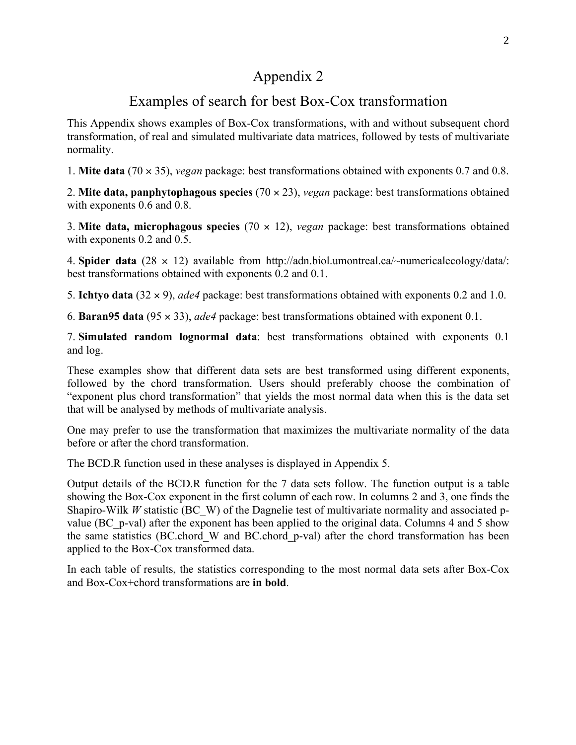# Appendix 2

# Examples of search for best Box-Cox transformation

This Appendix shows examples of Box-Cox transformations, with and without subsequent chord transformation, of real and simulated multivariate data matrices, followed by tests of multivariate normality.

1. **Mite data** (70 × 35), *vegan* package: best transformations obtained with exponents 0.7 and 0.8.

2. **Mite data, panphytophagous species** (70 × 23), *vegan* package: best transformations obtained with exponents 0.6 and 0.8.

3. **Mite data, microphagous species** (70 × 12), *vegan* package: best transformations obtained with exponents 0.2 and 0.5.

4. **Spider data** (28 × 12) available from http://adn.biol.umontreal.ca/~numericalecology/data/: best transformations obtained with exponents 0.2 and 0.1.

5. **Ichtyo data** (32 × 9), *ade4* package: best transformations obtained with exponents 0.2 and 1.0.

6. **Baran95 data** (95 × 33), *ade4* package: best transformations obtained with exponent 0.1.

7. **Simulated random lognormal data**: best transformations obtained with exponents 0.1 and log.

These examples show that different data sets are best transformed using different exponents, followed by the chord transformation. Users should preferably choose the combination of "exponent plus chord transformation" that yields the most normal data when this is the data set that will be analysed by methods of multivariate analysis.

One may prefer to use the transformation that maximizes the multivariate normality of the data before or after the chord transformation.

The BCD.R function used in these analyses is displayed in Appendix 5.

Output details of the BCD.R function for the 7 data sets follow. The function output is a table showing the Box-Cox exponent in the first column of each row. In columns 2 and 3, one finds the Shapiro-Wilk *W* statistic (BC\_W) of the Dagnelie test of multivariate normality and associated pvalue (BC p-val) after the exponent has been applied to the original data. Columns 4 and 5 show the same statistics (BC.chord\_W and BC.chord\_p-val) after the chord transformation has been applied to the Box-Cox transformed data.

In each table of results, the statistics corresponding to the most normal data sets after Box-Cox and Box-Cox+chord transformations are **in bold**.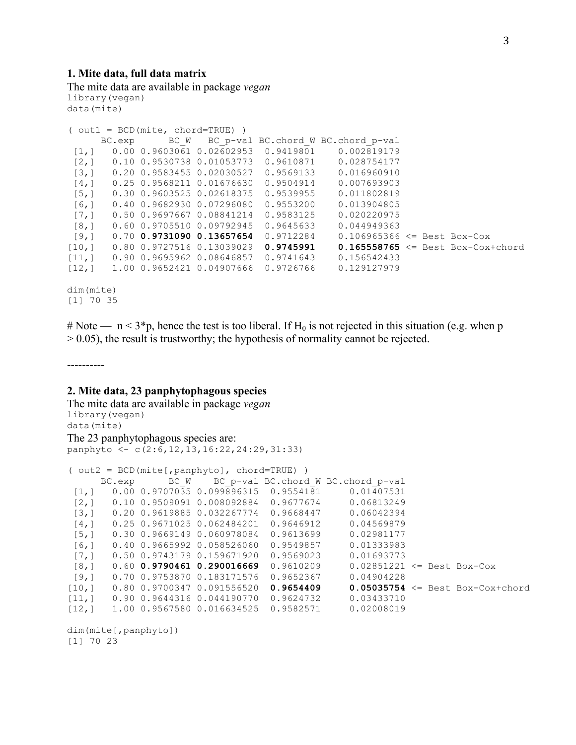## **1. Mite data, full data matrix**

The mite data are available in package *vegan* library(vegan) data(mite)

```
( out1 = BCD(mite, chord=TRUE) )
    BC.exp BC_W BC_p-val BC.chord_W BC.chord_p-val
[1,] 0.00 0.9603061 0.02602953 0.9419801 0.002819179
[2,] 0.10 0.9530738 0.01053773 0.9610871 0.028754177
[3,] 0.20 0.9583455 0.02030527 0.9569133 0.016960910
[4,] 0.25 0.9568211 0.01676630 0.9504914 0.007693903
[5,] 0.30 0.9603525 0.02618375 0.9539955 0.011802819
[6,] 0.40 0.9682930 0.07296080 0.9553200 0.013904805
[7,] 0.50 0.9697667 0.08841214 0.9583125 0.020220975
[8,] 0.60 0.9705510 0.09792945 0.9645633 0.044949363
[9,] 0.70 0.9731090 0.13657654 0.9712284 0.106965366 <= Best Box-Cox
[10,] 0.80 0.9727516 0.13039029 0.9745991 0.165558765 <= Best Box-Cox+chord
[11,] 0.90 0.9695962 0.08646857 0.9741643
[12,] 1.00 0.9652421 0.04907666 0.9726766 0.129127979
```
dim(mite) [1] 70 35

# Note —  $n < 3<sup>*</sup>p$ , hence the test is too liberal. If H<sub>0</sub> is not rejected in this situation (e.g. when p  $> 0.05$ ), the result is trustworthy; the hypothesis of normality cannot be rejected.

----------

## **2. Mite data, 23 panphytophagous species**

```
The mite data are available in package vegan
library(vegan)
data(mite)
The 23 panphytophagous species are:
panphyto <- c(2:6,12,13,16:22,24:29,31:33)
( out2 = BCD(mite[,panphyto], chord=TRUE) )
     BC.exp BC W BC p-val BC.chord W BC.chord p-val
 [1,] 0.00 0.9707035 0.099896315 0.9554181 0.01407531
 [2,] 0.10 0.9509091 0.008092884 0.9677674 0.06813249
 [3,] 0.20 0.9619885 0.032267774 0.9668447 0.06042394
 [4,] 0.25 0.9671025 0.062484201 0.9646912 0.04569879
 [5,] 0.30 0.9669149 0.060978084 0.9613699 0.02981177
 [6,] 0.40 0.9665992 0.058526060 0.9549857 0.01333983
 [7,] 0.50 0.9743179 0.159671920 0.9569023 0.01693773
 [8,] 0.60 0.9790461 0.290016669 0.9610209 0.02851221 <= Best Box-Cox
[9,] 0.70 0.9753870 0.183171576 0.9652367 0.04904228
[10,] 0.80 0.9700347 0.091556520 0.9654409 0.05035754 <= Best Box-Cox+chord
[11,] 0.90 0.9644316 0.044190770 0.9624732 0.03433710
[12,] 1.00 0.9567580 0.016634525 0.9582571 0.02008019
```
dim(mite[,panphyto]) [1] 70 23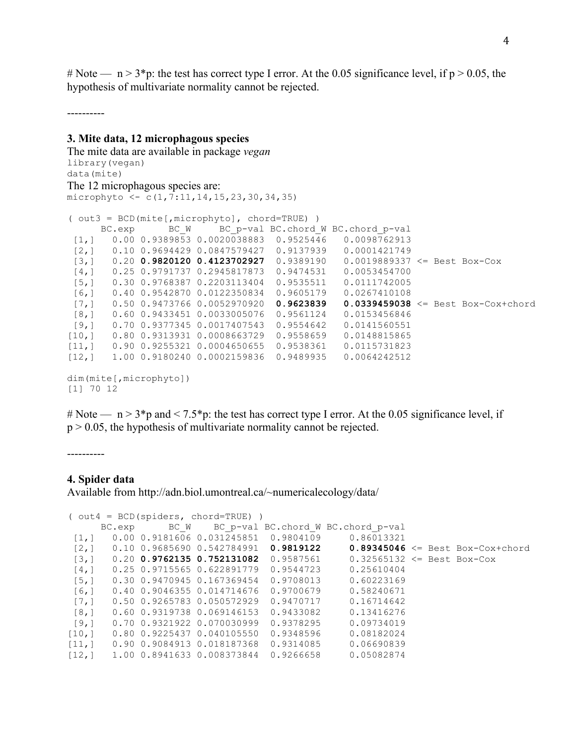# Note —  $n > 3<sup>*</sup>p$ : the test has correct type I error. At the 0.05 significance level, if  $p > 0.05$ , the hypothesis of multivariate normality cannot be rejected.

----------

## **3. Mite data, 12 microphagous species**

```
The mite data are available in package vegan
library(vegan)
data(mite)
The 12 microphagous species are:
microphyto <- c(1,7:11,14,15,23,30,34,35)
```

```
( out3 = BCD(mite[,microphyto], chord=TRUE) )
    BC.exp BC W BC p-val BC.chord W BC.chord p-val
 [1,] 0.00 0.9389853 0.0020038883 0.9525446 0.0098762913
 [2,] 0.10 0.9694429 0.0847579427 0.9137939 0.0001421749
[3,] 0.20 0.9820120 0.4123702927 0.9389190 0.0019889337 <= Best Box-Cox
[4,] 0.25 0.9791737 0.2945817873 0.9474531 0.0053454700
[5,] 0.30 0.9768387 0.2203113404 0.9535511 0.0111742005
[6,] 0.40 0.9542870 0.0122350834 0.9605179 0.0267410108
[7,] 0.50 0.9473766 0.0052970920 0.9623839 0.0339459038 <= Best Box-Cox+chord
[8,] 0.60 0.9433451 0.0033005076 0.9561124 0.0153456846
[9,] 0.70 0.9377345 0.0017407543 0.9554642 0.0141560551
[10,] 0.80 0.9313931 0.0008663729 0.9558659 0.0148815865
[11,] 0.90 0.9255321 0.0004650655 0.9538361 0.0115731823
[12,] 1.00 0.9180240 0.0002159836 0.9489935 0.0064242512
dim(mite[,microphyto])
```
[1] 70 12

# Note —  $n > 3$ \*p and < 7.5\*p: the test has correct type I error. At the 0.05 significance level, if  $p > 0.05$ , the hypothesis of multivariate normality cannot be rejected.

----------

## **4. Spider data**

Available from http://adn.biol.umontreal.ca/~numericalecology/data/

```
( out4 = BCD(spiders, chord=TRUE) )
    BC.exp BC W BC p-val BC.chord W BC.chord p-val
[1,] 0.00 0.9181606 0.031245851 0.9804109 0.86013321
[2,] 0.10 0.9685690 0.542784991 0.9819122 0.89345046 <= Best Box-Cox+chord
[3,] 0.20 0.9762135 0.752131082 0.9587561 0.32565132 <= Best Box-Cox
 [4,] 0.25 0.9715565 0.622891779 0.9544723 0.25610404
 [5,] 0.30 0.9470945 0.167369454 0.9708013 0.60223169
[6,] 0.40 0.9046355 0.014714676 0.9700679 0.58240671
[7,] 0.50 0.9265783 0.050572929 0.9470717 0.16714642
[8,] 0.60 0.9319738 0.069146153 0.9433082 0.13416276
[9,] 0.70 0.9321922 0.070030999 0.9378295 0.09734019
[10,] 0.80 0.9225437 0.040105550 0.9348596 0.08182024
[11,] 0.90 0.9084913 0.018187368 0.9314085 0.06690839
[12,] 1.00 0.8941633 0.008373844 0.9266658 0.05082874
```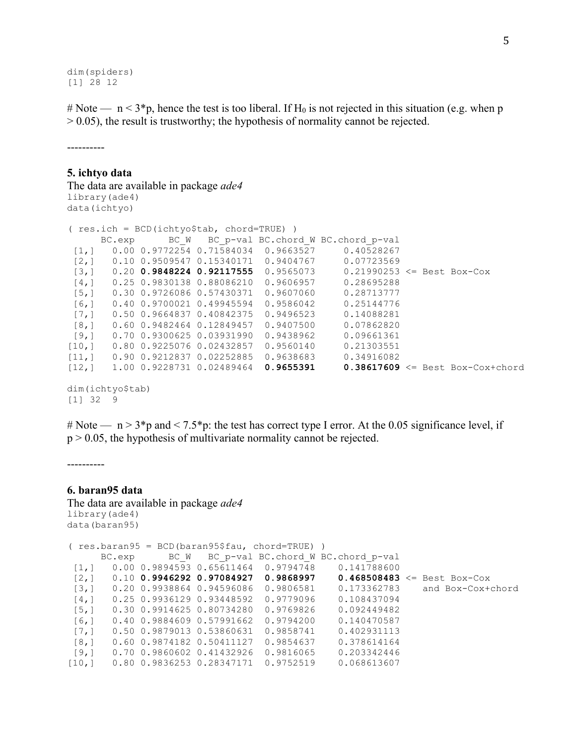# Note —  $n < 3<sup>*</sup>p$ , hence the test is too liberal. If H<sub>0</sub> is not rejected in this situation (e.g. when p  $> 0.05$ ), the result is trustworthy; the hypothesis of normality cannot be rejected.

----------

#### **5. ichtyo data**

```
The data are available in package ade4
library(ade4)
data(ichtyo)
( res.ich = BCD(ichtyo$tab, chord=TRUE) )
    BC.exp BC W BC p-val BC.chord W BC.chord p-val
 [1,] 0.00 0.9772254 0.71584034 0.9663527 0.40528267
 [2,] 0.10 0.9509547 0.15340171 0.9404767 0.07723569
 [3,] 0.20 0.9848224 0.92117555 0.9565073 0.21990253 <= Best Box-Cox
 [4,] 0.25 0.9830138 0.88086210 0.9606957 0.28695288
 [5,] 0.30 0.9726086 0.57430371 0.9607060 0.28713777
 [6,] 0.40 0.9700021 0.49945594 0.9586042 0.25144776
[7,] 0.50 0.9664837 0.40842375 0.9496523 0.14088281
[8,] 0.60 0.9482464 0.12849457 0.9407500 0.07862820
[9,] 0.70 0.9300625 0.03931990 0.9438962 0.09661361
[10,] 0.80 0.9225076 0.02432857 0.9560140<br>[11,] 0.90 0.9212837 0.02252885 0.9638683
[11,] 0.90 0.9212837 0.02252885 0.9638683 0.34916082
[12,] 1.00 0.9228731 0.02489464 0.9655391 0.38617609 <= Best Box-Cox+chord
dim(ichtyo$tab)
```
[1] 32 9

----------

# Note —  $n > 3<sup>*</sup>p$  and  $\lt 7.5<sup>*</sup>p$ : the test has correct type I error. At the 0.05 significance level, if  $p > 0.05$ , the hypothesis of multivariate normality cannot be rejected.

```
6. baran95 data
The data are available in package ade4
library(ade4)
data(baran95)
( res.baran95 = BCD(baran95$fau, chord=TRUE) )
    BC.exp BC W BC p-val BC.chord W BC.chord p-val
 [1,] 0.00 0.9894593 0.65611464 0.9794748 0.141788600
 [2,] 0.10 0.9946292 0.97084927 0.9868997 0.468508483 <= Best Box-Cox
[3,] 0.20 0.9938864 0.94596086 0.9806581 0.173362783 and Box-Cox+chord
[4,] 0.25 0.9936129 0.93448592 0.9779096 0.108437094
[5,] 0.30 0.9914625 0.80734280 0.9769826 0.092449482
 [6,] 0.40 0.9884609 0.57991662 0.9794200 0.140470587
 [7,] 0.50 0.9879013 0.53860631 0.9858741 0.402931113
[8,] 0.60 0.9874182 0.50411127 0.9854637 0.378614164
[9,] 0.70 0.9860602 0.41432926 0.9816065 0.203342446
[10,] 0.80 0.9836253 0.28347171 0.9752519 0.068613607
```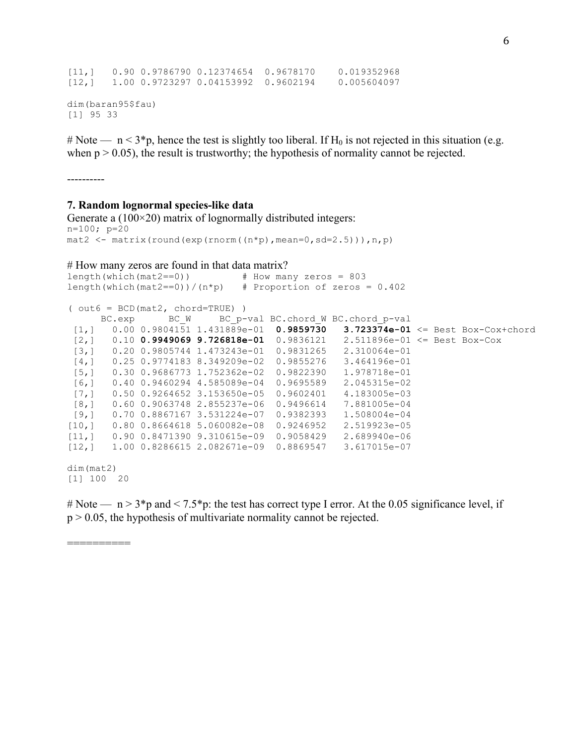[11,] 0.90 0.9786790 0.12374654 0.9678170 0.019352968 [12,] 1.00 0.9723297 0.04153992 0.9602194 0.005604097

```
dim(baran95$fau)
[1] 95 33
```
# Note —  $n < 3<sup>*</sup>p$ , hence the test is slightly too liberal. If H<sub>0</sub> is not rejected in this situation (e.g. when  $p > 0.05$ ), the result is trustworthy; the hypothesis of normality cannot be rejected.

----------

## **7. Random lognormal species-like data**

```
Generate a (100\times20) matrix of lognormally distributed integers:
n=100; p=20
mat2 < - matrix(round(exp(rnorm((n*p),mean=0,sd=2.5))),n,p)
```
### # How many zeros are found in that data matrix?

```
length(which (mat2==0)) # How many zeros = 803
length(which(mat2==0))/(n*p) # Proportion of zeros = 0.402
```
( out6 = BCD(mat2, chord=TRUE) )

```
BC.exp BC W BC p-val BC.chord W BC.chord p-val
 [1,] 0.00 0.9804151 1.431889e-01 0.9859730 3.723374e-01 <= Best Box-Cox+chord
[2,] 0.10 0.9949069 9.726818e-01 0.9836121 2.511896e-01 <= Best Box-Cox
[3,] 0.20 0.9805744 1.473243e-01 0.9831265 2.310064e-01
[4,] 0.25 0.9774183 8.349209e-02 0.9855276 3.464196e-01
[5,] 0.30 0.9686773 1.752362e-02 0.9822390 1.978718e-01
[6,] 0.40 0.9460294 4.585089e-04 0.9695589 2.045315e-02
[7,] 0.50 0.9264652 3.153650e-05 0.9602401 4.183005e-03
[8,] 0.60 0.9063748 2.855237e-06 0.9496614 7.881005e-04
[9,] 0.70 0.8867167 3.531224e-07 0.9382393 1.508004e-04
[10,] 0.80 0.8664618 5.060082e-08 0.9246952 2.519923e-05
[11,] 0.90 0.8471390 9.310615e-09 0.9058429 2.689940e-06
[12,] 1.00 0.8286615 2.082671e-09 0.8869547 3.617015e-07
dim(mat2)
```
[1] 100 20

==========

# Note —  $n > 3<sup>*</sup>p$  and  $\lt 7.5<sup>*</sup>p$ : the test has correct type I error. At the 0.05 significance level, if  $p > 0.05$ , the hypothesis of multivariate normality cannot be rejected.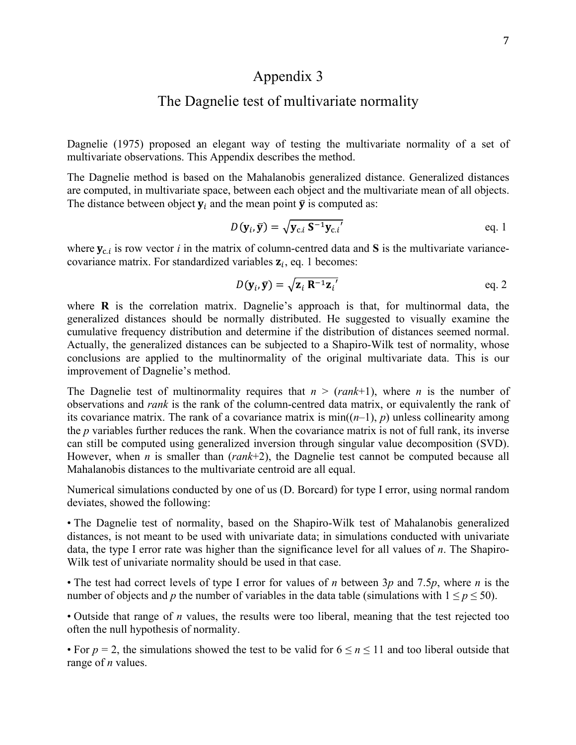## Appendix 3

## The Dagnelie test of multivariate normality

Dagnelie (1975) proposed an elegant way of testing the multivariate normality of a set of multivariate observations. This Appendix describes the method.

The Dagnelie method is based on the Mahalanobis generalized distance. Generalized distances are computed, in multivariate space, between each object and the multivariate mean of all objects. The distance between object  $\mathbf{v}_i$  and the mean point  $\overline{\mathbf{v}}$  is computed as:

$$
D(\mathbf{y}_i, \overline{\mathbf{y}}) = \sqrt{\mathbf{y}_{c,i} \mathbf{S}^{-1} \mathbf{y}_{c,i}}'
$$
eq. 1

where  $y_{c,i}$  is row vector *i* in the matrix of column-centred data and **S** is the multivariate variancecovariance matrix. For standardized variables  $z_i$ , eq. 1 becomes:

$$
D(\mathbf{y}_i, \overline{\mathbf{y}}) = \sqrt{\mathbf{z}_i \, \mathbf{R}^{-1} \mathbf{z}_i'}
$$
 eq. 2

where **R** is the correlation matrix. Dagnelie's approach is that, for multinormal data, the generalized distances should be normally distributed. He suggested to visually examine the cumulative frequency distribution and determine if the distribution of distances seemed normal. Actually, the generalized distances can be subjected to a Shapiro-Wilk test of normality, whose conclusions are applied to the multinormality of the original multivariate data. This is our improvement of Dagnelie's method.

The Dagnelie test of multinormality requires that  $n > (rank+1)$ , where *n* is the number of observations and *rank* is the rank of the column-centred data matrix, or equivalently the rank of its covariance matrix. The rank of a covariance matrix is  $min((n-1), p)$  unless collinearity among the *p* variables further reduces the rank. When the covariance matrix is not of full rank, its inverse can still be computed using generalized inversion through singular value decomposition (SVD). However, when *n* is smaller than (*rank*+2), the Dagnelie test cannot be computed because all Mahalanobis distances to the multivariate centroid are all equal.

Numerical simulations conducted by one of us (D. Borcard) for type I error, using normal random deviates, showed the following:

• The Dagnelie test of normality, based on the Shapiro-Wilk test of Mahalanobis generalized distances, is not meant to be used with univariate data; in simulations conducted with univariate data, the type I error rate was higher than the significance level for all values of *n*. The Shapiro-Wilk test of univariate normality should be used in that case.

• The test had correct levels of type I error for values of *n* between 3*p* and 7.5*p*, where *n* is the number of objects and *p* the number of variables in the data table (simulations with  $1 \le p \le 50$ ).

• Outside that range of *n* values, the results were too liberal, meaning that the test rejected too often the null hypothesis of normality.

• For  $p = 2$ , the simulations showed the test to be valid for  $6 \le n \le 11$  and too liberal outside that range of *n* values.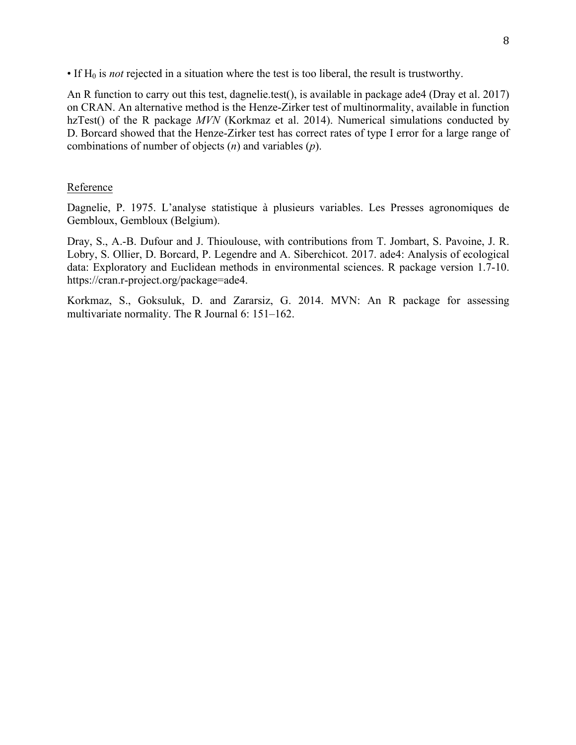• If H0 is *not* rejected in a situation where the test is too liberal, the result is trustworthy.

An R function to carry out this test, dagnelie.test(), is available in package ade4 (Dray et al. 2017) on CRAN. An alternative method is the Henze-Zirker test of multinormality, available in function hzTest() of the R package *MVN* (Korkmaz et al. 2014). Numerical simulations conducted by D. Borcard showed that the Henze-Zirker test has correct rates of type I error for a large range of combinations of number of objects (*n*) and variables (*p*).

## Reference

Dagnelie, P. 1975. L'analyse statistique à plusieurs variables. Les Presses agronomiques de Gembloux, Gembloux (Belgium).

Dray, S., A.-B. Dufour and J. Thioulouse, with contributions from T. Jombart, S. Pavoine, J. R. Lobry, S. Ollier, D. Borcard, P. Legendre and A. Siberchicot. 2017. ade4: Analysis of ecological data: Exploratory and Euclidean methods in environmental sciences. R package version 1.7-10. https://cran.r-project.org/package=ade4.

Korkmaz, S., Goksuluk, D. and Zararsiz, G. 2014. MVN: An R package for assessing multivariate normality. The R Journal 6: 151–162.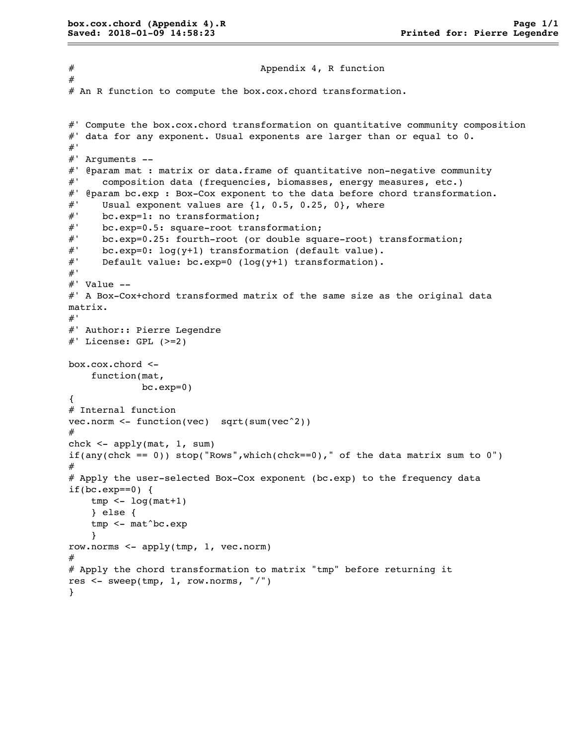```
# Appendix 4, R function¬
#¬
# An R function to compute the box.cox.chord transformation.¬
#' Compute the box.cox.chord transformation on quantitative community composition
#' data for any exponent. Usual exponents are larger than or equal to 0.
#'¬
#' Arguments --¬
#' @param mat : matrix or data.frame of quantitative non-negative community
#' composition data (frequencies, biomasses, energy measures, etc.)¬
#' @param bc.exp : Box-Cox exponent to the data before chord transformation.
#' Usual exponent values are \{1, 0.5, 0.25, 0\}, where
#' bc.exp=1: no transformation;
#' bc.exp=0.5: square-root transformation;
#' bc.exp=0.25: fourth-root (or double square-root) transformation;
\#' bc.exp=0: log(y+1) transformation (default value).
#' Default value: bc \cdot exp=0 (log(y+1) transformation).
#'¬
#' Value --#' A Box-Cox+chord transformed matrix of the same size as the original data 
matrix.
#<sup>1</sup>#' Author:: Pierre Legendre¬
#' License: GPL (>=2)box.cox.chord <- ¬
    function(max,bc \cdot exp=0)
\{# Internal function¬
vec.norm <- function(vec) sqrt(sum(vec^2))
#chck \leq apply(mat, 1, sum)
if(any(chck == 0)) stop("Rows",which(chck==0)," of the data matrix sum to 0")
#¬
# Apply the user-selected Box-Cox exponent (bc.exp) to the frequency data¬
if(bc.exp==0) \{tmp \leftarrow \text{log}(\text{mat}+1)} else \{tmp <- mat^bc.exp
    }¬
row.norms \leq apply(tmp, 1, vec.norm)
#¬
# Apply the chord transformation to matrix "tmp" before returning it¬
res \leq sweep(tmp, 1, row.norms, "/")
}¬
```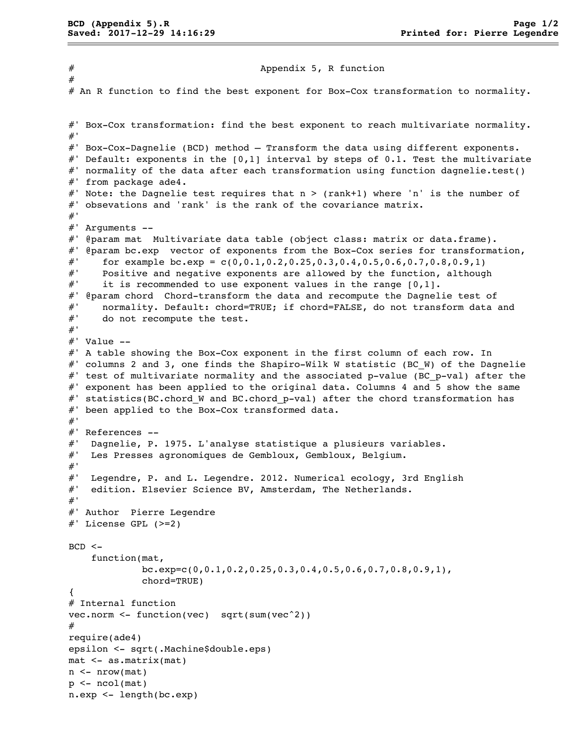```
# Appendix 5, R function¬
#¬
# An R function to find the best exponent for Box-Cox transformation to normality.
#' Box-Cox transformation: find the best exponent to reach multivariate normality.
#<sup>1</sup>#' Box-Cox-Dagnelie (BCD) method - Transform the data using different exponents.
#' Default: exponents in the [0,1] interval by steps of 0.1. Test the multivariate
#' normality of the data after each transformation using function dagnelie.test()
#' from package ade4.¬
#' Note: the Dagnelie test requires that n > (rank+1) where 'n' is the number of
#' obsevations and 'rank' is the rank of the covariance matrix.
#'¬
#' Arguments --¬
#' @param mat Multivariate data table (object class: matrix or data.frame).¬
#' @param bc.exp vector of exponents from the Box-Cox series for transformation,
#' for example bc.exp = c(0,0.1,0.2,0.25,0.3,0.4,0.5,0.6,0.7,0.8,0.9,1)#' Positive and negative exponents are allowed by the function, although
#' it is recommended to use exponent values in the range [0,1].
#' @param chord Chord-transform the data and recompute the Dagnelie test of
#' normality. Default: chord=TRUE; if chord=FALSE, do not transform data and
#' do not recompute the test.
#'¬
#' Value --¬
#' A table showing the Box-Cox exponent in the first column of each row. In
#' columns 2 and 3, one finds the Shapiro-Wilk W statistic (BC W) of the Dagnelie
#' test of multivariate normality and the associated p-value (BC_p-val) after the
#' exponent has been applied to the original data. Columns 4 and 5 show the same
#' statistics(BC.chord_W and BC.chord_p-val) after the chord transformation has
#' been applied to the Box-Cox transformed data.
#'
#' References --¬
#' Dagnelie, P. 1975. L'analyse statistique a plusieurs variables.
#' Les Presses agronomiques de Gembloux, Gembloux, Belgium.¬
#<sup>1</sup>#' Legendre, P. and L. Legendre. 2012. Numerical ecology, 3rd English
#' edition. Elsevier Science BV, Amsterdam, The Netherlands.¬
#'¬
#' Author Pierre Legendre¬
#' License GPL (>=2)
BCD < -function(mat,
              bc.exp=c(0,0.1,0.2,0.25,0.3,0.4,0.5,0.6,0.7,0.8,0.9,1), ¬
              chord=TRUE)¬
\overline{\mathcal{L}}# Internal function¬
vec.norm \leq function(vec) sqrt(x) sqrt(sum(vec^2))
#¬
require(ade4)¬
epsilon <- sqrt(.Machine$double.eps)¬
mat <- as.matrix(mat)
n \leq -nrow(mat)p \le -\text{ncol}(\text{mat})n.exp <- length(bc.exp)¬
```